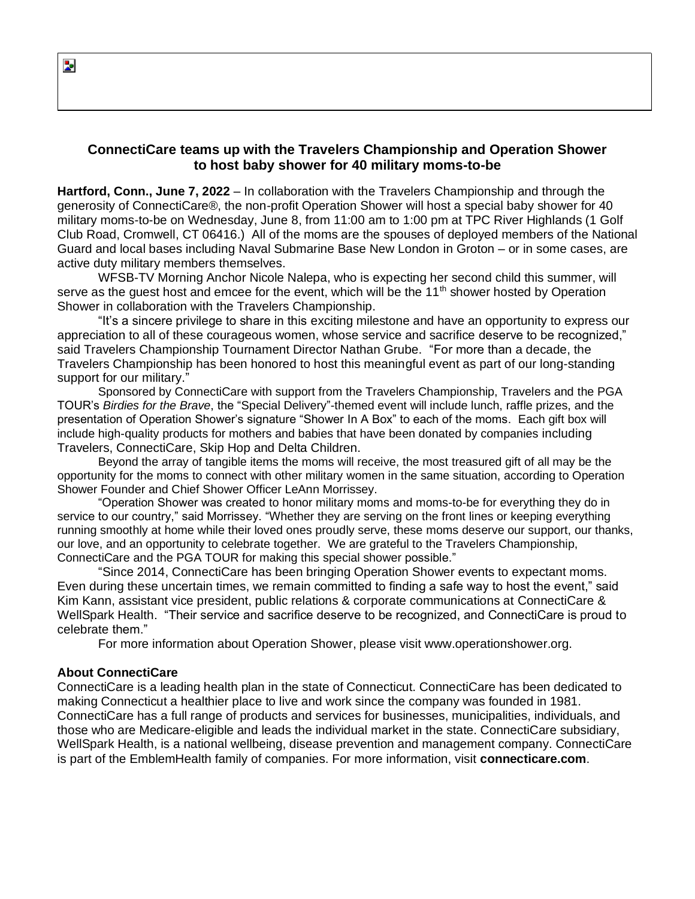# **ConnectiCare teams up with the Travelers Championship and Operation Shower to host baby shower for 40 military moms-to-be**

**Hartford, Conn., June 7, 2022** – In collaboration with the Travelers Championship and through the generosity of ConnectiCare®, the non-profit Operation Shower will host a special baby shower for 40 military moms-to-be on Wednesday, June 8, from 11:00 am to 1:00 pm at TPC River Highlands (1 Golf Club Road, Cromwell, CT 06416.) All of the moms are the spouses of deployed members of the National Guard and local bases including Naval Submarine Base New London in Groton – or in some cases, are active duty military members themselves.

WFSB-TV Morning Anchor Nicole Nalepa, who is expecting her second child this summer, will serve as the quest host and emcee for the event, which will be the 11<sup>th</sup> shower hosted by Operation Shower in collaboration with the Travelers Championship.

"It's a sincere privilege to share in this exciting milestone and have an opportunity to express our appreciation to all of these courageous women, whose service and sacrifice deserve to be recognized," said Travelers Championship Tournament Director Nathan Grube. "For more than a decade, the Travelers Championship has been honored to host this meaningful event as part of our long-standing support for our military."

Sponsored by ConnectiCare with support from the Travelers Championship, Travelers and the PGA TOUR's *Birdies for the Brave*, the "Special Delivery"-themed event will include lunch, raffle prizes, and the presentation of Operation Shower's signature "Shower In A Box" to each of the moms. Each gift box will include high-quality products for mothers and babies that have been donated by companies including Travelers, ConnectiCare, Skip Hop and Delta Children.

Beyond the array of tangible items the moms will receive, the most treasured gift of all may be the opportunity for the moms to connect with other military women in the same situation, according to Operation Shower Founder and Chief Shower Officer LeAnn Morrissey.

"Operation Shower was created to honor military moms and moms-to-be for everything they do in service to our country," said Morrissey. "Whether they are serving on the front lines or keeping everything running smoothly at home while their loved ones proudly serve, these moms deserve our support, our thanks, our love, and an opportunity to celebrate together. We are grateful to the Travelers Championship, ConnectiCare and the PGA TOUR for making this special shower possible."

"Since 2014, ConnectiCare has been bringing Operation Shower events to expectant moms. Even during these uncertain times, we remain committed to finding a safe way to host the event," said Kim Kann, assistant vice president, public relations & corporate communications at ConnectiCare & WellSpark Health. "Their service and sacrifice deserve to be recognized, and ConnectiCare is proud to celebrate them."

For more information about Operation Shower, please visit www.operationshower.org.

### **About ConnectiCare**

ConnectiCare is a leading health plan in the state of Connecticut. ConnectiCare has been dedicated to making Connecticut a healthier place to live and work since the company was founded in 1981. ConnectiCare has a full range of products and services for businesses, municipalities, individuals, and those who are Medicare-eligible and leads the individual market in the state. ConnectiCare subsidiary, WellSpark Health, is a national wellbeing, disease prevention and management company. ConnectiCare is part of the EmblemHealth family of companies. For more information, visit **[connecticare.com](https://nam12.safelinks.protection.outlook.com/?url=http%3A%2F%2Fconnecticare.com%2F&data=05%7C01%7C%7C44a093a6a8e1488f253008da4343d026%7C84df9e7fe9f640afb435aaaaaaaaaaaa%7C1%7C0%7C637896255817252537%7CUnknown%7CTWFpbGZsb3d8eyJWIjoiMC4wLjAwMDAiLCJQIjoiV2luMzIiLCJBTiI6Ik1haWwiLCJXVCI6Mn0%3D%7C3000%7C%7C%7C&sdata=8GGC0UMCt6%2BZt%2FX20Ex%2BOjB45706aacNOwkHZgXjD5o%3D&reserved=0)**.

Ъ.